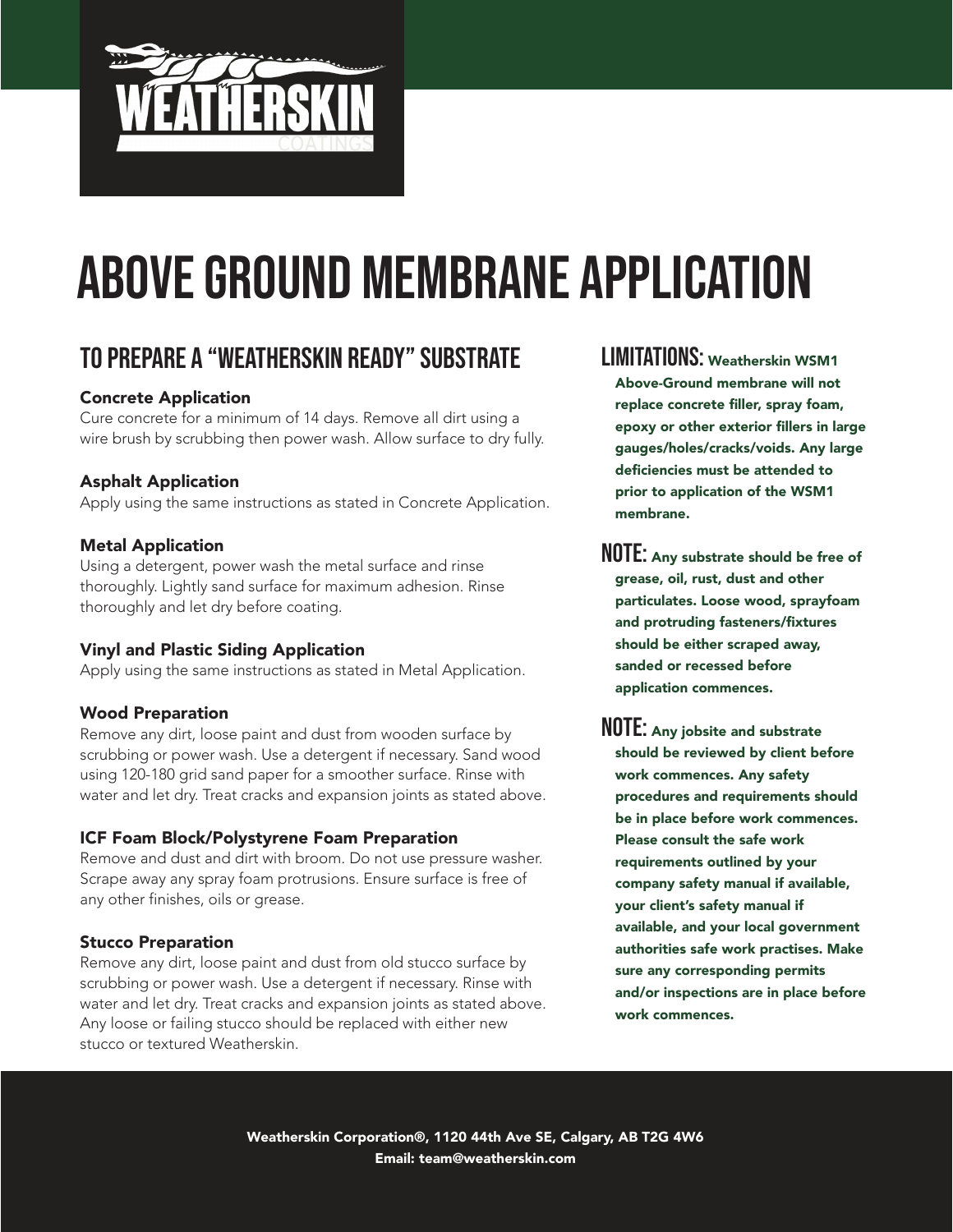

# To Prepare a "Weatherskin Ready" Substrate

### Concrete Application

Cure concrete for a minimum of 14 days. Remove all dirt using a wire brush by scrubbing then power wash. Allow surface to dry fully.

### Asphalt Application

Apply using the same instructions as stated in Concrete Application.

#### Metal Application

Using a detergent, power wash the metal surface and rinse thoroughly. Lightly sand surface for maximum adhesion. Rinse thoroughly and let dry before coating.

#### Vinyl and Plastic Siding Application

Apply using the same instructions as stated in Metal Application.

#### Wood Preparation

Remove any dirt, loose paint and dust from wooden surface by scrubbing or power wash. Use a detergent if necessary. Sand wood using 120-180 grid sand paper for a smoother surface. Rinse with water and let dry. Treat cracks and expansion joints as stated above.

#### ICF Foam Block/Polystyrene Foam Preparation

Remove and dust and dirt with broom. Do not use pressure washer. Scrape away any spray foam protrusions. Ensure surface is free of any other finishes, oils or grease.

### Stucco Preparation

Remove any dirt, loose paint and dust from old stucco surface by scrubbing or power wash. Use a detergent if necessary. Rinse with water and let dry. Treat cracks and expansion joints as stated above. Any loose or failing stucco should be replaced with either new stucco or textured Weatherskin.

## LIMITATIONS: Weatherskin WSM1 Above-Ground membrane will not replace concrete filler, spray foam, epoxy or other exterior fillers in large gauges/holes/cracks/voids. Any large deficiencies must be attended to prior to application of the WSM1 membrane.

NOTE: Any substrate should be free of grease, oil, rust, dust and other particulates. Loose wood, sprayfoam and protruding fasteners/fixtures should be either scraped away, sanded or recessed before application commences.

NOTE: Any jobsite and substrate should be reviewed by client before work commences. Any safety procedures and requirements should be in place before work commences. Please consult the safe work requirements outlined by your company safety manual if available, your client's safety manual if available, and your local government authorities safe work practises. Make sure any corresponding permits and/or inspections are in place before work commences.